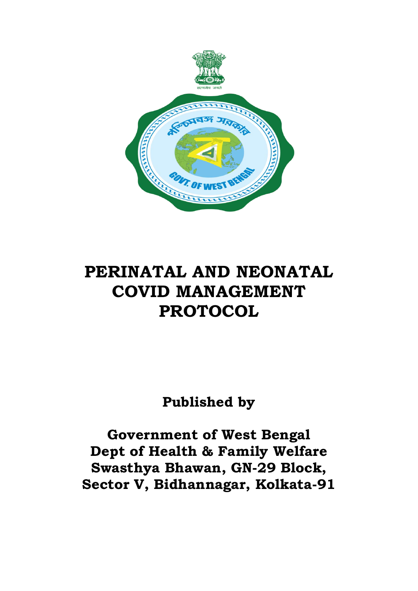

# **PERINATAL AND NEONATAL COVID MANAGEMENT PROTOCOL**

**Published by** 

**Government of West Bengal Dept of Health & Family Welfare Swasthya Bhawan, GN-29 Block, Sector V, Bidhannagar, Kolkata-91**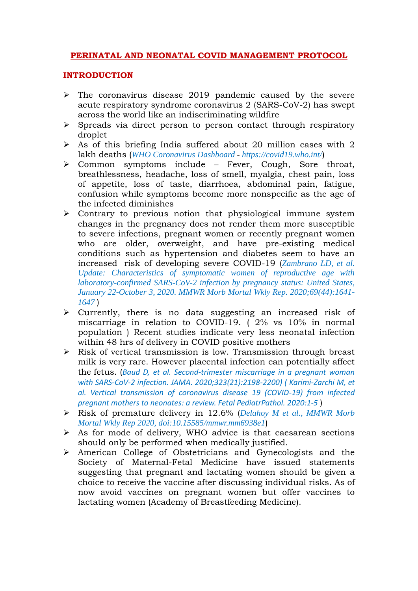# **PERINATAL AND NEONATAL COVID MANAGEMENT PROTOCOL**

# **INTRODUCTION**

- $\triangleright$  The coronavirus disease 2019 pandemic caused by the severe acute respiratory syndrome coronavirus 2 (SARS-CoV-2) has swept across the world like an indiscriminating wildfire
- $\triangleright$  Spreads via direct person to person contact through respiratory droplet
- $\triangleright$  As of this briefing India suffered about 20 million cases with 2 lakh deaths (*[WHO Coronavirus Dashboard](https://covid19.who.int/) - https://covid19.who.int/*)
- Common symptoms include Fever, Cough, Sore throat, breathlessness, headache, loss of smell, myalgia, chest pain, loss of appetite, loss of taste, diarrhoea, abdominal pain, fatigue, confusion while symptoms become more nonspecific as the age of the infected diminishes
- $\triangleright$  Contrary to previous notion that physiological immune system changes in the pregnancy does not render them more susceptible to severe infections, pregnant women or recently pregnant women who are older, overweight, and have pre-existing medical conditions such as hypertension and diabetes seem to have an increased risk of developing severe COVID-19 (*Zambrano LD, et al. Update: Characteristics of symptomatic women of reproductive age with laboratory-confirmed SARS-CoV-2 infection by pregnancy status: United States, January 22-October 3, 2020. MMWR Morb Mortal Wkly Rep. 2020;69(44):1641- 1647* )
- $\triangleright$  Currently, there is no data suggesting an increased risk of miscarriage in relation to COVID-19. ( 2% vs 10% in normal population ) Recent studies indicate very less neonatal infection within 48 hrs of delivery in COVID positive mothers
- $\triangleright$  Risk of vertical transmission is low. Transmission through breast milk is very rare. However placental infection can potentially affect the fetus. (*Baud D, et al. Second-trimester miscarriage in a pregnant woman with SARS-CoV-2 infection. JAMA. 2020;323(21):2198-2200) ( Karimi-Zarchi M, et al. Vertical transmission of coronavirus disease 19 (COVID-19) from infected pregnant mothers to neonates: a review. Fetal PediatrPathol. 2020:1-5* )
- Risk of premature delivery in 12.6% (*Delahoy M et al., MMWR Morb Mortal Wkly Rep 2020, [doi:10.15585/mmwr.mm6938e1](http://dx.doi.org/10.15585/mmwr.mm6938e1)*)
- $\triangleright$  As for mode of delivery, WHO advice is that caesarean sections should only be performed when medically justified.
- American College of Obstetricians and Gynecologists and the Society of Maternal-Fetal Medicine have issued statements suggesting that pregnant and lactating women should be given a choice to receive the vaccine after discussing individual risks. As of now avoid vaccines on pregnant women but offer vaccines to lactating women (Academy of Breastfeeding Medicine).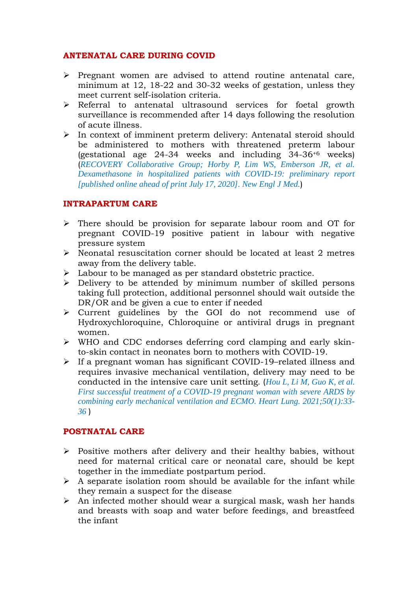# **ANTENATAL CARE DURING COVID**

- $\triangleright$  Pregnant women are advised to attend routine antenatal care, minimum at 12, 18-22 and 30-32 weeks of gestation, unless they meet current self-isolation criteria.
- Referral to antenatal ultrasound services for foetal growth surveillance is recommended after 14 days following the resolution of acute illness.
- $\triangleright$  In context of imminent preterm delivery: Antenatal steroid should be administered to mothers with threatened preterm labour (gestational age 24-34 weeks and including 34-36+6 weeks) (*RECOVERY Collaborative Group; Horby P, Lim WS, Emberson JR, et al. Dexamethasone in hospitalized patients with COVID-19: preliminary report [published online ahead of print July 17, 2020]. New Engl J Med.*)

# **INTRAPARTUM CARE**

- There should be provision for separate labour room and OT for pregnant COVID-19 positive patient in labour with negative pressure system
- $\triangleright$  Neonatal resuscitation corner should be located at least 2 metres away from the delivery table.
- > Labour to be managed as per standard obstetric practice.
- Delivery to be attended by minimum number of skilled persons taking full protection, additional personnel should wait outside the DR/OR and be given a cue to enter if needed
- Current guidelines by the GOI do not recommend use of Hydroxychloroquine, Chloroquine or antiviral drugs in pregnant women.
- $\triangleright$  WHO and CDC endorses deferring cord clamping and early skinto-skin contact in neonates born to mothers with COVID-19.
- If a pregnant woman has significant COVID-19–related illness and requires invasive mechanical ventilation, delivery may need to be conducted in the intensive care unit setting. (*Hou L, Li M, Guo K, et al. First successful treatment of a COVID-19 pregnant woman with severe ARDS by combining early mechanical ventilation and ECMO. Heart Lung. 2021;50(1):33- 36* )

# **POSTNATAL CARE**

- $\triangleright$  Positive mothers after delivery and their healthy babies, without need for maternal critical care or neonatal care, should be kept together in the immediate postpartum period.
- $\triangleright$  A separate isolation room should be available for the infant while they remain a suspect for the disease
- $\triangleright$  An infected mother should wear a surgical mask, wash her hands and breasts with soap and water before feedings, and breastfeed the infant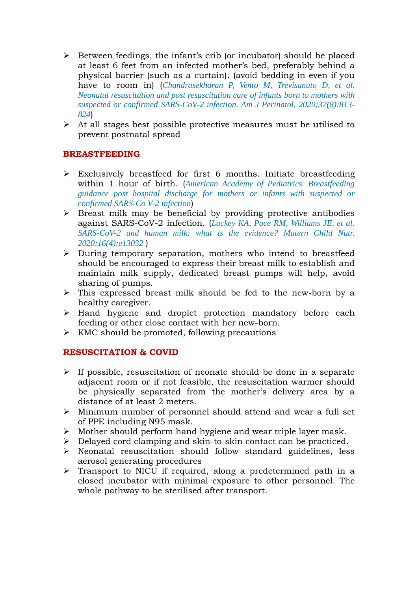- $\triangleright$  Between feedings, the infant's crib (or incubator) should be placed at least 6 feet from an infected mother's bed, preferably behind a physical barrier (such as a curtain). (avoid bedding in even if you have to room in) (*Chandrasekharan P, Vento M, Trevisanuto D, et al. Neonatal resuscitation and post resuscitation care of infants born to mothers with suspected or confirmed SARS-CoV-2 infection. Am J Perinatol. 2020;37(8):813- 824*)
- $\triangleright$  At all stages best possible protective measures must be utilised to prevent postnatal spread

# **BREASTFEEDING**

- Exclusively breastfeed for first 6 months. Initiate breastfeeding within 1 hour of birth. (*American Academy of Pediatrics. Breastfeeding guidance post hospital discharge for mothers or infants with suspected or confirmed SARS-Co V-2 infection*)
- $\triangleright$  Breast milk may be beneficial by providing protective antibodies against SARS-CoV-2 infection. (*Lackey KA, Pace RM, Williams JE, et al. SARS-CoV-2 and human milk: what is the evidence? Matern Child Nutr. 2020;16(4):e13032* )
- During temporary separation, mothers who intend to breastfeed should be encouraged to express their breast milk to establish and maintain milk supply, dedicated breast pumps will help, avoid sharing of pumps.
- $\triangleright$  This expressed breast milk should be fed to the new-born by a healthy caregiver.
- $\triangleright$  Hand hygiene and droplet protection mandatory before each feeding or other close contact with her new-born.
- $\triangleright$  KMC should be promoted, following precautions

# **RESUSCITATION & COVID**

- $\triangleright$  If possible, resuscitation of neonate should be done in a separate adjacent room or if not feasible, the resuscitation warmer should be physically separated from the mother's delivery area by a distance of at least 2 meters.
- Minimum number of personnel should attend and wear a full set of PPE including N95 mask.
- $\triangleright$  Mother should perform hand hygiene and wear triple layer mask.
- Delayed cord clamping and skin-to-skin contact can be practiced.
- $\triangleright$  Neonatal resuscitation should follow standard guidelines, less aerosol generating procedures
- Transport to NICU if required, along a predetermined path in a closed incubator with minimal exposure to other personnel. The whole pathway to be sterilised after transport.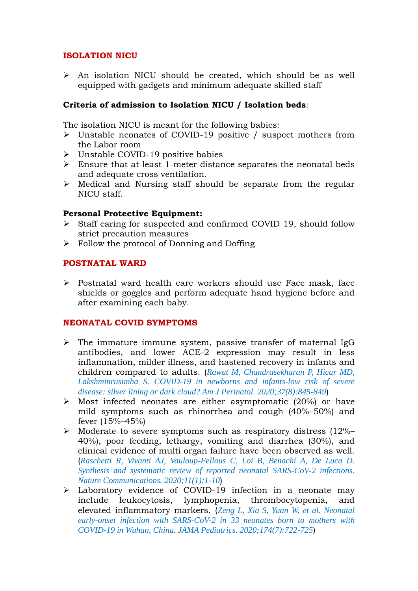# **ISOLATION NICU**

 $\triangleright$  An isolation NICU should be created, which should be as well equipped with gadgets and minimum adequate skilled staff

# **Criteria of admission to Isolation NICU / Isolation beds**:

The isolation NICU is meant for the following babies:

- Unstable neonates of COVID-19 positive / suspect mothers from the Labor room
- $\triangleright$  Unstable COVID-19 positive babies
- $\triangleright$  Ensure that at least 1-meter distance separates the neonatal beds and adequate cross ventilation.
- $\triangleright$  Medical and Nursing staff should be separate from the regular NICU staff.

#### **Personal Protective Equipment:**

- Staff caring for suspected and confirmed COVID 19, should follow strict precaution measures
- $\triangleright$  Follow the protocol of Donning and Doffing

#### **POSTNATAL WARD**

 $\triangleright$  Postnatal ward health care workers should use Face mask, face shields or goggles and perform adequate hand hygiene before and after examining each baby.

#### **NEONATAL COVID SYMPTOMS**

- $\triangleright$  The immature immune system, passive transfer of maternal IgG antibodies, and lower ACE-2 expression may result in less inflammation, milder illness, and hastened recovery in infants and children compared to adults. (*Rawat M, Chandrasekharan P, Hicar MD, Lakshminrusimha S. COVID-19 in newborns and infants-low risk of severe disease: silver lining or dark cloud? Am J Perinatol. 2020;37(8):845-849*)
- $\triangleright$  Most infected neonates are either asymptomatic (20%) or have mild symptoms such as rhinorrhea and cough (40%–50%) and fever (15%–45%)
- $\triangleright$  Moderate to severe symptoms such as respiratory distress (12%– 40%), poor feeding, lethargy, vomiting and diarrhea (30%), and clinical evidence of multi organ failure have been observed as well. (*Raschetti R, Vivanti AJ, Vauloup-Fellous C, Loi B, Benachi A, De Luca D. Synthesis and systematic review of reported neonatal SARS-CoV-2 infections. Nature Communications. 2020;11(1):1-10*)
- Laboratory evidence of COVID-19 infection in a neonate may include leukocytosis, lymphopenia, thrombocytopenia, and elevated inflammatory markers. (*Zeng L, Xia S, Yuan W, et al. Neonatal early-onset infection with SARS-CoV-2 in 33 neonates born to mothers with COVID-19 in Wuhan, China. JAMA Pediatrics. 2020;174(7):722-725*)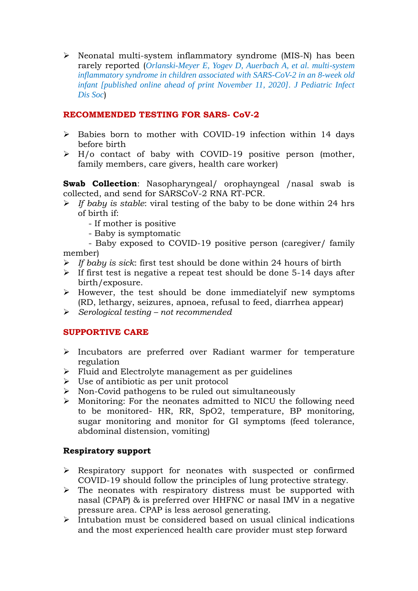$\triangleright$  Neonatal multi-system inflammatory syndrome (MIS-N) has been rarely reported (*Orlanski-Meyer E, Yogev D, Auerbach A, et al. multi-system inflammatory syndrome in children associated with SARS-CoV-2 in an 8-week old infant [published online ahead of print November 11, 2020]. J Pediatric Infect Dis Soc*)

# **RECOMMENDED TESTING FOR SARS- CoV-2**

- $\triangleright$  Babies born to mother with COVID-19 infection within 14 days before birth
- $\triangleright$  H/o contact of baby with COVID-19 positive person (mother, family members, care givers, health care worker)

**Swab Collection**: Nasopharyngeal/ orophayngeal /nasal swab is collected, and send for SARSCoV-2 RNA RT-PCR.

- *If baby is stable*: viral testing of the baby to be done within 24 hrs of birth if:
	- If mother is positive
	- Baby is symptomatic
- Baby exposed to COVID-19 positive person (caregiver/ family member)
- *If baby is sick*: first test should be done within 24 hours of birth
- $\triangleright$  If first test is negative a repeat test should be done 5-14 days after birth/exposure.
- $\triangleright$  However, the test should be done immediately if new symptoms (RD, lethargy, seizures, apnoea, refusal to feed, diarrhea appear)
- *Serological testing – not recommended*

# **SUPPORTIVE CARE**

- $\triangleright$  Incubators are preferred over Radiant warmer for temperature regulation
- $\triangleright$  Fluid and Electrolyte management as per guidelines
- $\triangleright$  Use of antibiotic as per unit protocol
- $\triangleright$  Non-Covid pathogens to be ruled out simultaneously
- Monitoring: For the neonates admitted to NICU the following need to be monitored- HR, RR, SpO2, temperature, BP monitoring, sugar monitoring and monitor for GI symptoms (feed tolerance, abdominal distension, vomiting)

# **Respiratory support**

- Respiratory support for neonates with suspected or confirmed COVID-19 should follow the principles of lung protective strategy.
- $\triangleright$  The neonates with respiratory distress must be supported with nasal (CPAP) & is preferred over HHFNC or nasal IMV in a negative pressure area. CPAP is less aerosol generating.
- $\triangleright$  Intubation must be considered based on usual clinical indications and the most experienced health care provider must step forward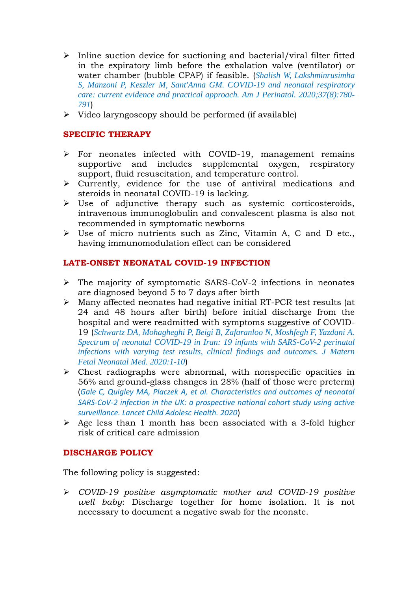- $\triangleright$  Inline suction device for suctioning and bacterial/viral filter fitted in the expiratory limb before the exhalation valve (ventilator) or water chamber (bubble CPAP) if feasible. (*Shalish W, Lakshminrusimha S, Manzoni P, Keszler M, Sant'Anna GM. COVID-19 and neonatal respiratory care: current evidence and practical approach. Am J Perinatol. 2020;37(8):780- 791*)
- $\triangleright$  Video laryngoscopy should be performed (if available)

#### **SPECIFIC THERAPY**

- $\triangleright$  For neonates infected with COVID-19, management remains supportive and includes supplemental oxygen, respiratory support, fluid resuscitation, and temperature control.
- $\triangleright$  Currently, evidence for the use of antiviral medications and steroids in neonatal COVID-19 is lacking.
- $\triangleright$  Use of adjunctive therapy such as systemic corticosteroids, intravenous immunoglobulin and convalescent plasma is also not recommended in symptomatic newborns
- Use of micro nutrients such as Zinc, Vitamin A, C and D etc., having immunomodulation effect can be considered

#### **LATE-ONSET NEONATAL COVID-19 INFECTION**

- $\triangleright$  The majority of symptomatic SARS-CoV-2 infections in neonates are diagnosed beyond 5 to 7 days after birth
- Many affected neonates had negative initial RT-PCR test results (at 24 and 48 hours after birth) before initial discharge from the hospital and were readmitted with symptoms suggestive of COVID-19 (*Schwartz DA, Mohagheghi P, Beigi B, Zafaranloo N, Moshfegh F, Yazdani A. Spectrum of neonatal COVID-19 in Iran: 19 infants with SARS-CoV-2 perinatal infections with varying test results, clinical findings and outcomes. J Matern Fetal Neonatal Med. 2020:1-10*)
- $\triangleright$  Chest radiographs were abnormal, with nonspecific opacities in 56% and ground-glass changes in 28% (half of those were preterm) (*Gale C, Quigley MA, Placzek A, et al. Characteristics and outcomes of neonatal SARS-CoV-2 infection in the UK: a prospective national cohort study using active surveillance. Lancet Child Adolesc Health. 2020*)
- $\triangleright$  Age less than 1 month has been associated with a 3-fold higher risk of critical care admission

# **DISCHARGE POLICY**

The following policy is suggested:

 *COVID-19 positive asymptomatic mother and COVID-19 positive well baby*: Discharge together for home isolation. It is not necessary to document a negative swab for the neonate.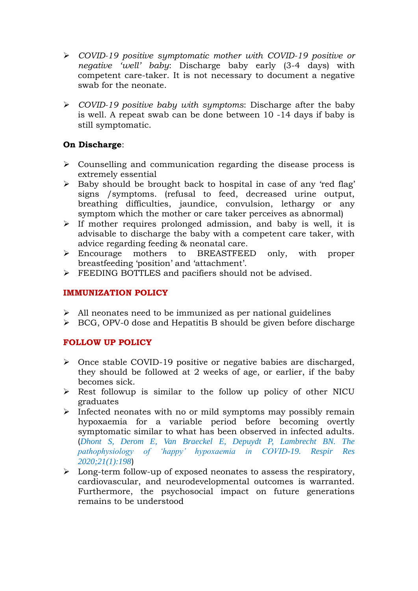- *COVID-19 positive symptomatic mother with COVID-19 positive or negative 'well' baby*: Discharge baby early (3-4 days) with competent care-taker. It is not necessary to document a negative swab for the neonate.
- *COVID-19 positive baby with symptoms*: Discharge after the baby is well. A repeat swab can be done between 10 -14 days if baby is still symptomatic.

# **On Discharge**:

- Counselling and communication regarding the disease process is extremely essential
- $\triangleright$  Baby should be brought back to hospital in case of any 'red flag' signs /symptoms. (refusal to feed, decreased urine output, breathing difficulties, jaundice, convulsion, lethargy or any symptom which the mother or care taker perceives as abnormal)
- $\triangleright$  If mother requires prolonged admission, and baby is well, it is advisable to discharge the baby with a competent care taker, with advice regarding feeding & neonatal care.
- Encourage mothers to BREASTFEED only, with proper breastfeeding 'position' and 'attachment'.
- FEEDING BOTTLES and pacifiers should not be advised.

# **IMMUNIZATION POLICY**

- $\triangleright$  All neonates need to be immunized as per national guidelines
- $\triangleright$  BCG, OPV-0 dose and Hepatitis B should be given before discharge

# **FOLLOW UP POLICY**

- Once stable COVID-19 positive or negative babies are discharged, they should be followed at 2 weeks of age, or earlier, if the baby becomes sick.
- $\triangleright$  Rest followup is similar to the follow up policy of other NICU graduates
- $\triangleright$  Infected neonates with no or mild symptoms may possibly remain hypoxaemia for a variable period before becoming overtly symptomatic similar to what has been observed in infected adults. (*Dhont S, Derom E, Van Braeckel E, Depuydt P, Lambrecht BN. The pathophysiology of 'happy' hypoxaemia in COVID-19. Respir Res 2020;21(1):198*)
- $\triangleright$  Long-term follow-up of exposed neonates to assess the respiratory, cardiovascular, and neurodevelopmental outcomes is warranted. Furthermore, the psychosocial impact on future generations remains to be understood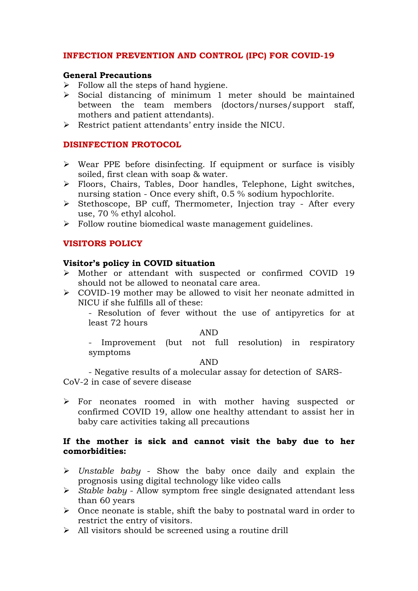## **INFECTION PREVENTION AND CONTROL (IPC) FOR COVID-19**

#### **General Precautions**

- $\triangleright$  Follow all the steps of hand hygiene.
- $\triangleright$  Social distancing of minimum 1 meter should be maintained between the team members (doctors/nurses/support staff, mothers and patient attendants).
- Restrict patient attendants' entry inside the NICU.

#### **DISINFECTION PROTOCOL**

- $\triangleright$  Wear PPE before disinfecting. If equipment or surface is visibly soiled, first clean with soap & water.
- Floors, Chairs, Tables, Door handles, Telephone, Light switches, nursing station - Once every shift, 0.5 % sodium hypochlorite.
- Stethoscope, BP cuff, Thermometer, Injection tray After every use, 70 % ethyl alcohol.
- > Follow routine biomedical waste management guidelines.

#### **VISITORS POLICY**

#### **Visitor's policy in COVID situation**

- Mother or attendant with suspected or confirmed COVID 19 should not be allowed to neonatal care area.
- COVID-19 mother may be allowed to visit her neonate admitted in NICU if she fulfills all of these:
	- Resolution of fever without the use of antipyretics for at least 72 hours

#### AND

- Improvement (but not full resolution) in respiratory symptoms

#### AND

- Negative results of a molecular assay for detection of SARS-CoV-2 in case of severe disease

 For neonates roomed in with mother having suspected or confirmed COVID 19, allow one healthy attendant to assist her in baby care activities taking all precautions

#### **If the mother is sick and cannot visit the baby due to her comorbidities:**

- *Unstable baby* Show the baby once daily and explain the prognosis using digital technology like video calls
- *Stable baby* Allow symptom free single designated attendant less than 60 years
- $\triangleright$  Once neonate is stable, shift the baby to postnatal ward in order to restrict the entry of visitors.
- $\triangleright$  All visitors should be screened using a routine drill